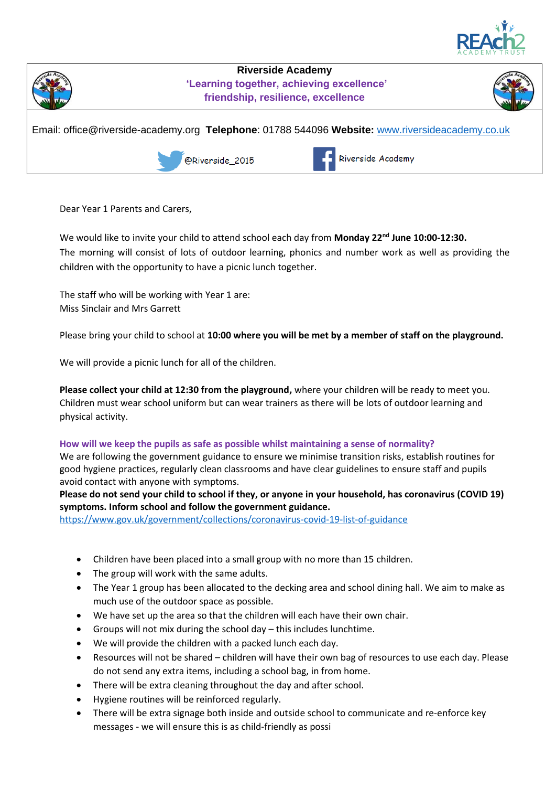



**Riverside Academy 'Learning together, achieving excellence' friendship, resilience, excellence**



Email: office@riverside-academy.org **Telephone**: 01788 544096 **Website:** [www.riversideacademy.co.uk](http://www.riversideacademy.co.uk/)

@Riverside 2015



Dear Year 1 Parents and Carers,

We would like to invite your child to attend school each day from **Monday 22nd June 10:00-12:30.** The morning will consist of lots of outdoor learning, phonics and number work as well as providing the children with the opportunity to have a picnic lunch together.

The staff who will be working with Year 1 are: Miss Sinclair and Mrs Garrett

Please bring your child to school at **10:00 where you will be met by a member of staff on the playground.**

We will provide a picnic lunch for all of the children.

**Please collect your child at 12:30 from the playground,** where your children will be ready to meet you. Children must wear school uniform but can wear trainers as there will be lots of outdoor learning and physical activity.

## **How will we keep the pupils as safe as possible whilst maintaining a sense of normality?**

We are following the government guidance to ensure we minimise transition risks, establish routines for good hygiene practices, regularly clean classrooms and have clear guidelines to ensure staff and pupils avoid contact with anyone with symptoms.

**Please do not send your child to school if they, or anyone in your household, has coronavirus (COVID 19) symptoms. Inform school and follow the government guidance.**

<https://www.gov.uk/government/collections/coronavirus-covid-19-list-of-guidance>

- Children have been placed into a small group with no more than 15 children.
- The group will work with the same adults.
- The Year 1 group has been allocated to the decking area and school dining hall. We aim to make as much use of the outdoor space as possible.
- We have set up the area so that the children will each have their own chair.
- Groups will not mix during the school day this includes lunchtime.
- We will provide the children with a packed lunch each day.
- Resources will not be shared children will have their own bag of resources to use each day. Please do not send any extra items, including a school bag, in from home.
- There will be extra cleaning throughout the day and after school.
- Hygiene routines will be reinforced regularly.
- There will be extra signage both inside and outside school to communicate and re-enforce key messages - we will ensure this is as child-friendly as possi